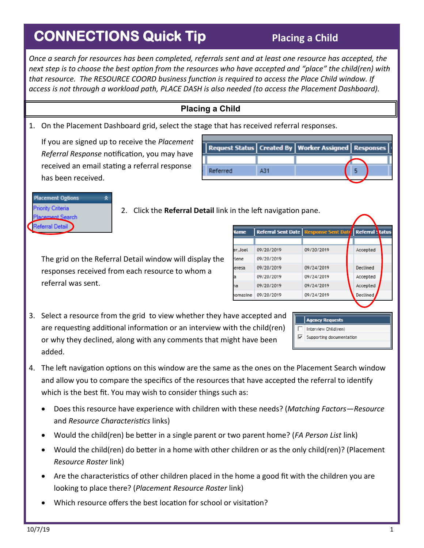## **CONNECTIONS Quick Tip**

## **Placing a Child**

*Once a search for resources has been completed, referrals sent and at least one resource has accepted, the next step is to choose the best option from the resources who have accepted and "place" the child(ren) with that resource. The RESOURCE COORD business function is required to access the Place Child window. If access is not through a workload path, PLACE DASH is also needed (to access the Placement Dashboard).*

## **Placing a Child**

1. On the Placement Dashboard grid, select the stage that has received referral responses.

If you are signed up to receive the *Placement Referral Response* notification, you may have received an email stating a referral response has been received.

|          | Request Status   Created By   Worker Assigned   Responses |  |
|----------|-----------------------------------------------------------|--|
|          |                                                           |  |
| Referred |                                                           |  |



2. Click the **Referral Detail** link in the left navigation pane.

The grid on the Referral Detail window will display the responses received from each resource to whom a referral was sent.

| <b>Vame</b> |            | Referral Sent Date   Response Sent Date   Referral Status |          |
|-------------|------------|-----------------------------------------------------------|----------|
|             |            |                                                           |          |
| er.Joel     | 09/20/2019 | 09/20/2019                                                | Accepted |
| <b>lene</b> | 09/20/2019 |                                                           |          |
| eresa       | 09/20/2019 | 09/24/2019                                                | Declined |
| ā           | 09/20/2019 | 09/24/2019                                                | Accepted |
| ٦a          | 09/20/2019 | 09/24/2019                                                | Accepted |
| iomasine    | 09/20/2019 | 09/24/2019                                                | Declined |
|             |            |                                                           |          |

3. Select a resource from the grid to view whether they have accepted and are requesting additional information or an interview with the child(ren) or why they declined, along with any comments that might have been added.

|   | <b>Agency Requests</b>   |
|---|--------------------------|
|   | Interview Child(ren)     |
| v | Supporting documentation |
|   |                          |

- 4. The left navigation options on this window are the same as the ones on the Placement Search window and allow you to compare the specifics of the resources that have accepted the referral to identify which is the best fit. You may wish to consider things such as:
	- Does this resource have experience with children with these needs? (*Matching Factors—Resource*  and *Resource Characteristics* links)
	- Would the child(ren) be better in a single parent or two parent home? (*FA Person List* link)
	- Would the child(ren) do better in a home with other children or as the only child(ren)? (Placement *Resource Roster* link)
	- Are the characteristics of other children placed in the home a good fit with the children you are looking to place there? (*Placement Resource Roster* link)
	- Which resource offers the best location for school or visitation?